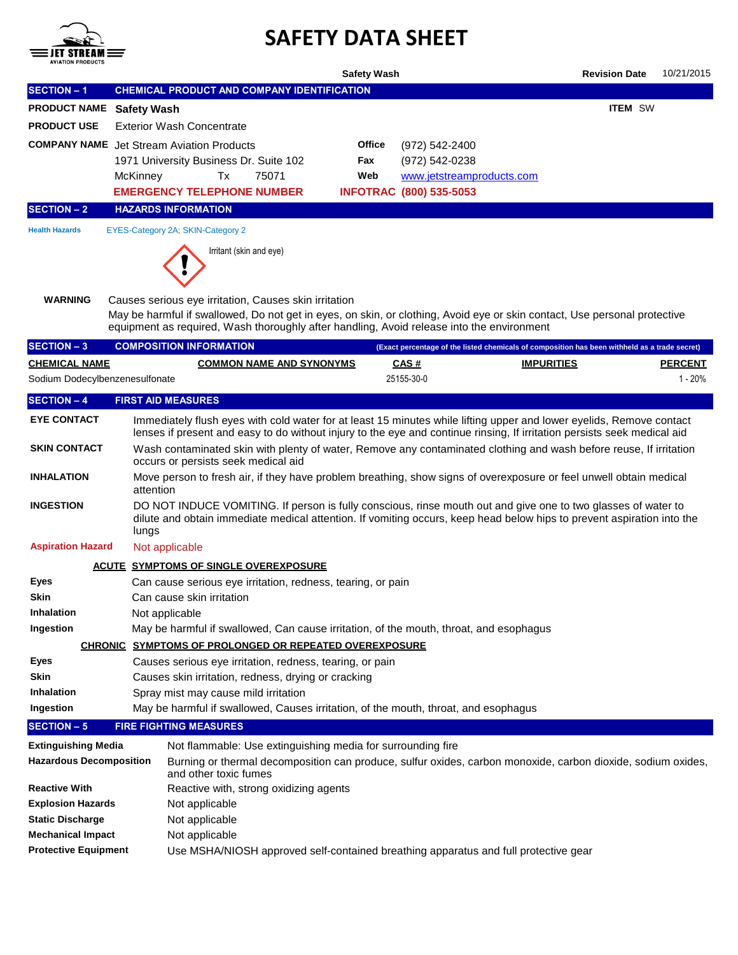

## **SAFETY DATA SHEET**

|                                                              |                                                                                                                                                                                                                                                                                 | <b>Safety Wash</b>                                                                                                                                                          | <b>Revision Date</b><br>10/21/2015                                                            |  |  |  |  |  |
|--------------------------------------------------------------|---------------------------------------------------------------------------------------------------------------------------------------------------------------------------------------------------------------------------------------------------------------------------------|-----------------------------------------------------------------------------------------------------------------------------------------------------------------------------|-----------------------------------------------------------------------------------------------|--|--|--|--|--|
| <b>SECTION - 1</b>                                           | <b>CHEMICAL PRODUCT AND COMPANY IDENTIFICATION</b>                                                                                                                                                                                                                              |                                                                                                                                                                             |                                                                                               |  |  |  |  |  |
| <b>PRODUCT NAME</b>                                          | <b>Safety Wash</b>                                                                                                                                                                                                                                                              |                                                                                                                                                                             | <b>ITEM SW</b>                                                                                |  |  |  |  |  |
| <b>PRODUCT USE</b>                                           | <b>Exterior Wash Concentrate</b>                                                                                                                                                                                                                                                |                                                                                                                                                                             |                                                                                               |  |  |  |  |  |
|                                                              | <b>COMPANY NAME</b> Jet Stream Aviation Products                                                                                                                                                                                                                                | Office<br>(972) 542-2400                                                                                                                                                    |                                                                                               |  |  |  |  |  |
|                                                              | 1971 University Business Dr. Suite 102                                                                                                                                                                                                                                          | (972) 542-0238<br>Fax                                                                                                                                                       |                                                                                               |  |  |  |  |  |
|                                                              | Tx<br>75071<br>McKinney                                                                                                                                                                                                                                                         | Web<br>www.jetstreamproducts.com                                                                                                                                            |                                                                                               |  |  |  |  |  |
|                                                              | <b>EMERGENCY TELEPHONE NUMBER</b>                                                                                                                                                                                                                                               | <b>INFOTRAC (800) 535-5053</b>                                                                                                                                              |                                                                                               |  |  |  |  |  |
| <b>SECTION - 2</b>                                           | <b>HAZARDS INFORMATION</b>                                                                                                                                                                                                                                                      |                                                                                                                                                                             |                                                                                               |  |  |  |  |  |
| <b>Health Hazards</b>                                        | EYES-Category 2A; SKIN-Category 2                                                                                                                                                                                                                                               |                                                                                                                                                                             |                                                                                               |  |  |  |  |  |
|                                                              | Irritant (skin and eye)                                                                                                                                                                                                                                                         |                                                                                                                                                                             |                                                                                               |  |  |  |  |  |
| <b>WARNING</b>                                               | Causes serious eye irritation, Causes skin irritation<br>May be harmful if swallowed, Do not get in eyes, on skin, or clothing, Avoid eye or skin contact, Use personal protective<br>equipment as required, Wash thoroughly after handling, Avoid release into the environment |                                                                                                                                                                             |                                                                                               |  |  |  |  |  |
| <b>SECTION - 3</b>                                           | <b>COMPOSITION INFORMATION</b>                                                                                                                                                                                                                                                  |                                                                                                                                                                             | (Exact percentage of the listed chemicals of composition has been withheld as a trade secret) |  |  |  |  |  |
| <b>CHEMICAL NAME</b>                                         | <b>COMMON NAME AND SYNONYMS</b>                                                                                                                                                                                                                                                 | CAS#                                                                                                                                                                        | <b>IMPURITIES</b><br><b>PERCENT</b>                                                           |  |  |  |  |  |
| Sodium Dodecylbenzenesulfonate                               |                                                                                                                                                                                                                                                                                 | 25155-30-0                                                                                                                                                                  | $1 - 20%$                                                                                     |  |  |  |  |  |
| <b>SECTION - 4</b>                                           | <b>FIRST AID MEASURES</b>                                                                                                                                                                                                                                                       |                                                                                                                                                                             |                                                                                               |  |  |  |  |  |
| <b>EYE CONTACT</b>                                           | Immediately flush eyes with cold water for at least 15 minutes while lifting upper and lower eyelids, Remove contact<br>lenses if present and easy to do without injury to the eye and continue rinsing, If irritation persists seek medical aid                                |                                                                                                                                                                             |                                                                                               |  |  |  |  |  |
| <b>SKIN CONTACT</b>                                          | Wash contaminated skin with plenty of water, Remove any contaminated clothing and wash before reuse, If irritation<br>occurs or persists seek medical aid                                                                                                                       |                                                                                                                                                                             |                                                                                               |  |  |  |  |  |
| <b>INHALATION</b>                                            | Move person to fresh air, if they have problem breathing, show signs of overexposure or feel unwell obtain medical<br>attention                                                                                                                                                 |                                                                                                                                                                             |                                                                                               |  |  |  |  |  |
| <b>INGESTION</b>                                             | DO NOT INDUCE VOMITING. If person is fully conscious, rinse mouth out and give one to two glasses of water to<br>dilute and obtain immediate medical attention. If vomiting occurs, keep head below hips to prevent aspiration into the<br>lungs                                |                                                                                                                                                                             |                                                                                               |  |  |  |  |  |
| <b>Aspiration Hazard</b>                                     | Not applicable                                                                                                                                                                                                                                                                  |                                                                                                                                                                             |                                                                                               |  |  |  |  |  |
|                                                              | <b>ACUTE SYMPTOMS OF SINGLE OVEREXPOSURE</b>                                                                                                                                                                                                                                    |                                                                                                                                                                             |                                                                                               |  |  |  |  |  |
| <b>Eyes</b>                                                  | Can cause serious eye irritation, redness, tearing, or pain                                                                                                                                                                                                                     |                                                                                                                                                                             |                                                                                               |  |  |  |  |  |
| Skin                                                         | Can cause skin irritation                                                                                                                                                                                                                                                       |                                                                                                                                                                             |                                                                                               |  |  |  |  |  |
| Inhalation                                                   | Not applicable                                                                                                                                                                                                                                                                  |                                                                                                                                                                             |                                                                                               |  |  |  |  |  |
| Ingestion                                                    | May be harmful if swallowed, Can cause irritation, of the mouth, throat, and esophagus                                                                                                                                                                                          |                                                                                                                                                                             |                                                                                               |  |  |  |  |  |
|                                                              | <b>CHRONIC SYMPTOMS OF PROLONGED OR REPEATED OVEREXPOSURE</b>                                                                                                                                                                                                                   |                                                                                                                                                                             |                                                                                               |  |  |  |  |  |
| Eyes                                                         | Causes serious eye irritation, redness, tearing, or pain                                                                                                                                                                                                                        |                                                                                                                                                                             |                                                                                               |  |  |  |  |  |
| Skin                                                         | Causes skin irritation, redness, drying or cracking                                                                                                                                                                                                                             |                                                                                                                                                                             |                                                                                               |  |  |  |  |  |
| Inhalation<br>Ingestion                                      | Spray mist may cause mild irritation<br>May be harmful if swallowed, Causes irritation, of the mouth, throat, and esophagus                                                                                                                                                     |                                                                                                                                                                             |                                                                                               |  |  |  |  |  |
| <b>SECTION - 5</b>                                           | <b>FIRE FIGHTING MEASURES</b>                                                                                                                                                                                                                                                   |                                                                                                                                                                             |                                                                                               |  |  |  |  |  |
|                                                              |                                                                                                                                                                                                                                                                                 |                                                                                                                                                                             |                                                                                               |  |  |  |  |  |
| <b>Extinguishing Media</b><br><b>Hazardous Decomposition</b> |                                                                                                                                                                                                                                                                                 | Not flammable: Use extinguishing media for surrounding fire<br>Burning or thermal decomposition can produce, sulfur oxides, carbon monoxide, carbon dioxide, sodium oxides, |                                                                                               |  |  |  |  |  |
| <b>Reactive With</b>                                         | and other toxic fumes<br>Reactive with, strong oxidizing agents                                                                                                                                                                                                                 |                                                                                                                                                                             |                                                                                               |  |  |  |  |  |
| <b>Explosion Hazards</b>                                     |                                                                                                                                                                                                                                                                                 |                                                                                                                                                                             |                                                                                               |  |  |  |  |  |
| <b>Static Discharge</b>                                      |                                                                                                                                                                                                                                                                                 |                                                                                                                                                                             |                                                                                               |  |  |  |  |  |
|                                                              | Not applicable                                                                                                                                                                                                                                                                  |                                                                                                                                                                             |                                                                                               |  |  |  |  |  |
| <b>Mechanical Impact</b>                                     | Not applicable<br>Not applicable                                                                                                                                                                                                                                                |                                                                                                                                                                             |                                                                                               |  |  |  |  |  |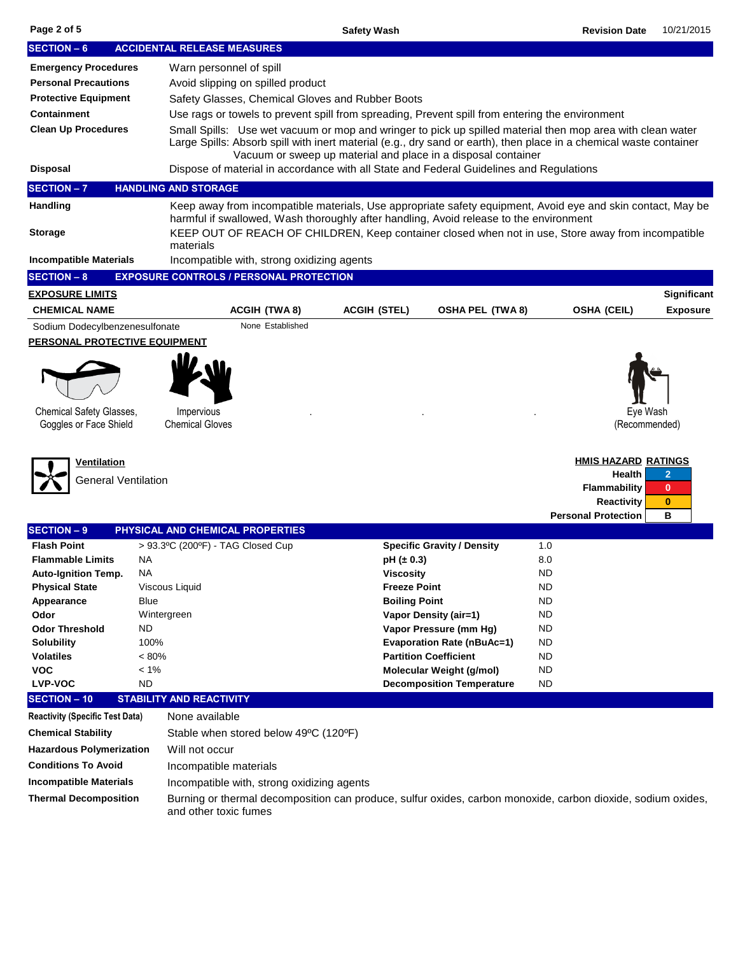| <b>SECTION - 6</b>                                                                                                    |                   | <b>ACCIDENTAL RELEASE MEASURES</b>                                                                                                                                                                    |                                                  |                                                               |                            |                                          |                      |  |  |  |  |  |
|-----------------------------------------------------------------------------------------------------------------------|-------------------|-------------------------------------------------------------------------------------------------------------------------------------------------------------------------------------------------------|--------------------------------------------------|---------------------------------------------------------------|----------------------------|------------------------------------------|----------------------|--|--|--|--|--|
| <b>Emergency Procedures</b>                                                                                           |                   | Warn personnel of spill                                                                                                                                                                               |                                                  |                                                               |                            |                                          |                      |  |  |  |  |  |
| <b>Personal Precautions</b>                                                                                           |                   | Avoid slipping on spilled product                                                                                                                                                                     |                                                  |                                                               |                            |                                          |                      |  |  |  |  |  |
| <b>Protective Equipment</b>                                                                                           |                   |                                                                                                                                                                                                       | Safety Glasses, Chemical Gloves and Rubber Boots |                                                               |                            |                                          |                      |  |  |  |  |  |
| <b>Containment</b><br>Use rags or towels to prevent spill from spreading, Prevent spill from entering the environment |                   |                                                                                                                                                                                                       |                                                  |                                                               |                            |                                          |                      |  |  |  |  |  |
| <b>Clean Up Procedures</b>                                                                                            |                   | Small Spills: Use wet vacuum or mop and wringer to pick up spilled material then mop area with clean water                                                                                            |                                                  |                                                               |                            |                                          |                      |  |  |  |  |  |
|                                                                                                                       |                   | Large Spills: Absorb spill with inert material (e.g., dry sand or earth), then place in a chemical waste container                                                                                    |                                                  |                                                               |                            |                                          |                      |  |  |  |  |  |
|                                                                                                                       |                   |                                                                                                                                                                                                       |                                                  | Vacuum or sweep up material and place in a disposal container |                            |                                          |                      |  |  |  |  |  |
| <b>Disposal</b>                                                                                                       |                   | Dispose of material in accordance with all State and Federal Guidelines and Regulations                                                                                                               |                                                  |                                                               |                            |                                          |                      |  |  |  |  |  |
| <b>SECTION - 7</b>                                                                                                    |                   | <b>HANDLING AND STORAGE</b>                                                                                                                                                                           |                                                  |                                                               |                            |                                          |                      |  |  |  |  |  |
| Handling                                                                                                              |                   | Keep away from incompatible materials, Use appropriate safety equipment, Avoid eye and skin contact, May be<br>harmful if swallowed, Wash thoroughly after handling, Avoid release to the environment |                                                  |                                                               |                            |                                          |                      |  |  |  |  |  |
| <b>Storage</b>                                                                                                        |                   | KEEP OUT OF REACH OF CHILDREN, Keep container closed when not in use, Store away from incompatible                                                                                                    |                                                  |                                                               |                            |                                          |                      |  |  |  |  |  |
|                                                                                                                       |                   | materials                                                                                                                                                                                             |                                                  |                                                               |                            |                                          |                      |  |  |  |  |  |
| <b>Incompatible Materials</b>                                                                                         |                   | Incompatible with, strong oxidizing agents                                                                                                                                                            |                                                  |                                                               |                            |                                          |                      |  |  |  |  |  |
| <b>SECTION - 8</b>                                                                                                    |                   | <b>EXPOSURE CONTROLS / PERSONAL PROTECTION</b>                                                                                                                                                        |                                                  |                                                               |                            |                                          |                      |  |  |  |  |  |
| <u>EXPOSURE LIMITS</u>                                                                                                |                   |                                                                                                                                                                                                       |                                                  |                                                               |                            |                                          | Significant          |  |  |  |  |  |
| <b>CHEMICAL NAME</b>                                                                                                  |                   | <b>ACGIH (TWA8)</b>                                                                                                                                                                                   | <b>ACGIH (STEL)</b>                              | <b>OSHA PEL (TWA 8)</b>                                       |                            | <b>OSHA (CEIL)</b>                       | <b>Exposure</b>      |  |  |  |  |  |
| Sodium Dodecylbenzenesulfonate                                                                                        |                   | None Established                                                                                                                                                                                      |                                                  |                                                               |                            |                                          |                      |  |  |  |  |  |
| <b>PERSONAL PROTECTIVE EQUIPMENT</b>                                                                                  |                   |                                                                                                                                                                                                       |                                                  |                                                               |                            |                                          |                      |  |  |  |  |  |
|                                                                                                                       |                   |                                                                                                                                                                                                       |                                                  |                                                               |                            |                                          |                      |  |  |  |  |  |
|                                                                                                                       |                   |                                                                                                                                                                                                       |                                                  |                                                               |                            |                                          |                      |  |  |  |  |  |
|                                                                                                                       |                   |                                                                                                                                                                                                       |                                                  |                                                               |                            |                                          |                      |  |  |  |  |  |
|                                                                                                                       |                   |                                                                                                                                                                                                       |                                                  |                                                               |                            |                                          |                      |  |  |  |  |  |
| Chemical Safety Glasses,                                                                                              |                   | Impervious<br><b>Chemical Gloves</b>                                                                                                                                                                  |                                                  |                                                               |                            | Eye Wash                                 |                      |  |  |  |  |  |
| Goggles or Face Shield                                                                                                |                   |                                                                                                                                                                                                       |                                                  |                                                               |                            | (Recommended)                            |                      |  |  |  |  |  |
|                                                                                                                       |                   |                                                                                                                                                                                                       |                                                  |                                                               |                            |                                          |                      |  |  |  |  |  |
| <u>Ventilation</u>                                                                                                    |                   |                                                                                                                                                                                                       |                                                  |                                                               |                            | <b>HMIS HAZARD RATINGS</b>               |                      |  |  |  |  |  |
| <b>General Ventilation</b>                                                                                            |                   |                                                                                                                                                                                                       |                                                  |                                                               |                            | Health                                   | $\overline{2}$       |  |  |  |  |  |
|                                                                                                                       |                   |                                                                                                                                                                                                       |                                                  |                                                               |                            | <b>Flammability</b><br><b>Reactivity</b> | $\bf{0}$<br>$\bf{0}$ |  |  |  |  |  |
|                                                                                                                       |                   |                                                                                                                                                                                                       |                                                  |                                                               | <b>Personal Protection</b> |                                          | в                    |  |  |  |  |  |
| <b>SECTION - 9</b>                                                                                                    |                   | PHYSICAL AND CHEMICAL PROPERTIES                                                                                                                                                                      |                                                  |                                                               |                            |                                          |                      |  |  |  |  |  |
| <b>Flash Point</b>                                                                                                    |                   | > 93.3°C (200°F) - TAG Closed Cup                                                                                                                                                                     |                                                  | <b>Specific Gravity / Density</b>                             | 1.0                        |                                          |                      |  |  |  |  |  |
| <b>Flammable Limits</b>                                                                                               | <b>NA</b>         |                                                                                                                                                                                                       | $pH (= 0.3)$                                     |                                                               | 8.0                        |                                          |                      |  |  |  |  |  |
| <b>Auto-Ignition Temp.</b>                                                                                            | NА                |                                                                                                                                                                                                       | <b>Viscosity</b>                                 |                                                               | <b>ND</b>                  |                                          |                      |  |  |  |  |  |
| <b>Physical State</b>                                                                                                 |                   | Viscous Liquid                                                                                                                                                                                        | <b>Freeze Point</b>                              |                                                               | <b>ND</b>                  |                                          |                      |  |  |  |  |  |
| Appearance                                                                                                            | Blue              |                                                                                                                                                                                                       | <b>Boiling Point</b>                             |                                                               | <b>ND</b>                  |                                          |                      |  |  |  |  |  |
| Odor<br><b>Odor Threshold</b>                                                                                         | Wintergreen<br>ND |                                                                                                                                                                                                       |                                                  | <b>Vapor Density (air=1)</b>                                  | <b>ND</b><br><b>ND</b>     |                                          |                      |  |  |  |  |  |
| <b>Solubility</b>                                                                                                     | 100%              |                                                                                                                                                                                                       |                                                  | Vapor Pressure (mm Hg)<br><b>Evaporation Rate (nBuAc=1)</b>   | ND                         |                                          |                      |  |  |  |  |  |
| <b>Volatiles</b>                                                                                                      | $< 80\%$          |                                                                                                                                                                                                       |                                                  | <b>Partition Coefficient</b>                                  | <b>ND</b>                  |                                          |                      |  |  |  |  |  |
| <b>VOC</b>                                                                                                            | $< 1\%$           |                                                                                                                                                                                                       |                                                  | Molecular Weight (g/mol)                                      | <b>ND</b>                  |                                          |                      |  |  |  |  |  |
| <b>LVP-VOC</b>                                                                                                        | <b>ND</b>         |                                                                                                                                                                                                       |                                                  | <b>Decomposition Temperature</b>                              | <b>ND</b>                  |                                          |                      |  |  |  |  |  |
| <b>SECTION - 10</b>                                                                                                   |                   | <b>STABILITY AND REACTIVITY</b>                                                                                                                                                                       |                                                  |                                                               |                            |                                          |                      |  |  |  |  |  |
| <b>Reactivity (Specific Test Data)</b>                                                                                |                   | None available                                                                                                                                                                                        |                                                  |                                                               |                            |                                          |                      |  |  |  |  |  |
| <b>Chemical Stability</b>                                                                                             |                   | Stable when stored below 49°C (120°F)                                                                                                                                                                 |                                                  |                                                               |                            |                                          |                      |  |  |  |  |  |
| <b>Hazardous Polymerization</b>                                                                                       |                   | Will not occur                                                                                                                                                                                        |                                                  |                                                               |                            |                                          |                      |  |  |  |  |  |
| <b>Conditions To Avoid</b>                                                                                            |                   | Incompatible materials                                                                                                                                                                                |                                                  |                                                               |                            |                                          |                      |  |  |  |  |  |
| <b>Incompatible Materials</b>                                                                                         |                   | Incompatible with, strong oxidizing agents                                                                                                                                                            |                                                  |                                                               |                            |                                          |                      |  |  |  |  |  |
| <b>Thermal Decomposition</b>                                                                                          |                   | Burning or thermal decomposition can produce, sulfur oxides, carbon monoxide, carbon dioxide, sodium oxides,                                                                                          |                                                  |                                                               |                            |                                          |                      |  |  |  |  |  |
|                                                                                                                       |                   | and other toxic fumes                                                                                                                                                                                 |                                                  |                                                               |                            |                                          |                      |  |  |  |  |  |
|                                                                                                                       |                   |                                                                                                                                                                                                       |                                                  |                                                               |                            |                                          |                      |  |  |  |  |  |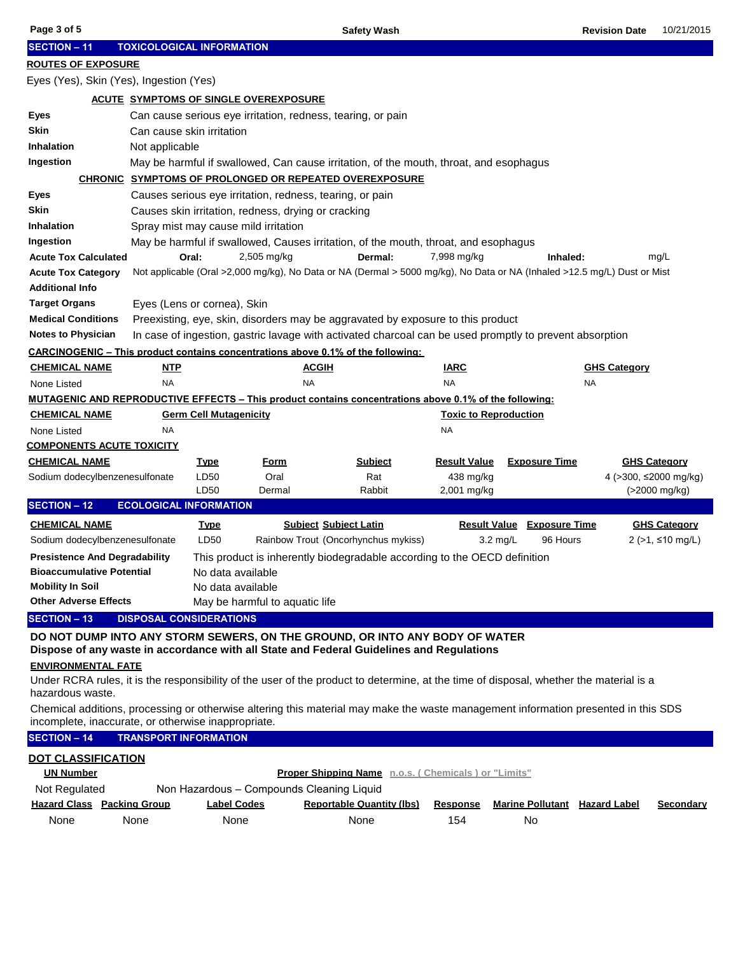| Page 3 of 5                                                                                                                                                                               |                                                                                |                                                     | <b>Safety Wash</b>                                                                                                       |                              |                                      | <b>Revision Date</b> | 10/21/2015            |
|-------------------------------------------------------------------------------------------------------------------------------------------------------------------------------------------|--------------------------------------------------------------------------------|-----------------------------------------------------|--------------------------------------------------------------------------------------------------------------------------|------------------------------|--------------------------------------|----------------------|-----------------------|
| <b>SECTION - 11</b>                                                                                                                                                                       |                                                                                | <b>TOXICOLOGICAL INFORMATION</b>                    |                                                                                                                          |                              |                                      |                      |                       |
| <b>ROUTES OF EXPOSURE</b>                                                                                                                                                                 |                                                                                |                                                     |                                                                                                                          |                              |                                      |                      |                       |
|                                                                                                                                                                                           | Eyes (Yes), Skin (Yes), Ingestion (Yes)                                        |                                                     |                                                                                                                          |                              |                                      |                      |                       |
|                                                                                                                                                                                           |                                                                                | <b>ACUTE SYMPTOMS OF SINGLE OVEREXPOSURE</b>        |                                                                                                                          |                              |                                      |                      |                       |
| Eyes                                                                                                                                                                                      |                                                                                |                                                     | Can cause serious eye irritation, redness, tearing, or pain                                                              |                              |                                      |                      |                       |
| <b>Skin</b>                                                                                                                                                                               |                                                                                | Can cause skin irritation                           |                                                                                                                          |                              |                                      |                      |                       |
| Inhalation                                                                                                                                                                                | Not applicable                                                                 |                                                     |                                                                                                                          |                              |                                      |                      |                       |
| Ingestion                                                                                                                                                                                 |                                                                                |                                                     | May be harmful if swallowed, Can cause irritation, of the mouth, throat, and esophagus                                   |                              |                                      |                      |                       |
|                                                                                                                                                                                           |                                                                                |                                                     | <b>CHRONIC SYMPTOMS OF PROLONGED OR REPEATED OVEREXPOSURE</b>                                                            |                              |                                      |                      |                       |
| Eyes                                                                                                                                                                                      |                                                                                |                                                     | Causes serious eye irritation, redness, tearing, or pain                                                                 |                              |                                      |                      |                       |
| <b>Skin</b>                                                                                                                                                                               |                                                                                | Causes skin irritation, redness, drying or cracking |                                                                                                                          |                              |                                      |                      |                       |
| <b>Inhalation</b>                                                                                                                                                                         |                                                                                | Spray mist may cause mild irritation                |                                                                                                                          |                              |                                      |                      |                       |
| Ingestion                                                                                                                                                                                 |                                                                                |                                                     | May be harmful if swallowed, Causes irritation, of the mouth, throat, and esophagus                                      |                              |                                      |                      |                       |
| <b>Acute Tox Calculated</b>                                                                                                                                                               |                                                                                | Oral:<br>$2,505$ mg/kg                              | Dermal:                                                                                                                  | 7,998 mg/kg                  | Inhaled:                             |                      | mg/L                  |
| <b>Acute Tox Category</b>                                                                                                                                                                 |                                                                                |                                                     | Not applicable (Oral >2,000 mg/kg), No Data or NA (Dermal > 5000 mg/kg), No Data or NA (Inhaled >12.5 mg/L) Dust or Mist |                              |                                      |                      |                       |
| <b>Additional Info</b>                                                                                                                                                                    |                                                                                |                                                     |                                                                                                                          |                              |                                      |                      |                       |
| <b>Target Organs</b>                                                                                                                                                                      |                                                                                | Eyes (Lens or cornea), Skin                         |                                                                                                                          |                              |                                      |                      |                       |
| <b>Medical Conditions</b>                                                                                                                                                                 |                                                                                |                                                     | Preexisting, eye, skin, disorders may be aggravated by exposure to this product                                          |                              |                                      |                      |                       |
| <b>Notes to Physician</b>                                                                                                                                                                 |                                                                                |                                                     | In case of ingestion, gastric lavage with activated charcoal can be used promptly to prevent absorption                  |                              |                                      |                      |                       |
|                                                                                                                                                                                           |                                                                                |                                                     | CARCINOGENIC – This product contains concentrations above 0.1% of the following:                                         |                              |                                      |                      |                       |
| <u>CHEMICAL NAME</u>                                                                                                                                                                      | <b>NTP</b>                                                                     |                                                     | <b>ACGIH</b>                                                                                                             | <b>IARC</b>                  |                                      | <b>GHS Category</b>  |                       |
| None Listed                                                                                                                                                                               | <b>NA</b>                                                                      |                                                     | <b>NA</b>                                                                                                                | <b>NA</b>                    |                                      | <b>NA</b>            |                       |
|                                                                                                                                                                                           |                                                                                |                                                     | MUTAGENIC AND REPRODUCTIVE EFFECTS – This product contains concentrations above 0.1% of the following:                   |                              |                                      |                      |                       |
| <b>CHEMICAL NAME</b>                                                                                                                                                                      |                                                                                | <b>Germ Cell Mutagenicity</b>                       |                                                                                                                          | <b>Toxic to Reproduction</b> |                                      |                      |                       |
| None Listed                                                                                                                                                                               | NA                                                                             |                                                     |                                                                                                                          | <b>NA</b>                    |                                      |                      |                       |
|                                                                                                                                                                                           | <b>COMPONENTS ACUTE TOXICITY</b>                                               |                                                     |                                                                                                                          |                              |                                      |                      |                       |
| <b>CHEMICAL NAME</b>                                                                                                                                                                      |                                                                                | <b>Type</b><br><u>Form</u>                          | <b>Subject</b>                                                                                                           | <b>Result Value</b>          | <b>Exposure Time</b>                 |                      | <b>GHS Category</b>   |
|                                                                                                                                                                                           | Sodium dodecylbenzenesulfonate                                                 | LD50<br>Oral                                        | Rat                                                                                                                      | 438 mg/kg                    |                                      |                      | 4 (>300, ≤2000 mg/kg) |
|                                                                                                                                                                                           |                                                                                | LD50<br>Dermal                                      | Rabbit                                                                                                                   | 2,001 mg/kg                  |                                      |                      | (>2000 mg/kg)         |
| <b>SECTION - 12</b>                                                                                                                                                                       | <b>ECOLOGICAL INFORMATION</b>                                                  |                                                     |                                                                                                                          |                              |                                      |                      |                       |
| <b>CHEMICAL NAME</b>                                                                                                                                                                      |                                                                                | <u>Type</u>                                         | <b>Subject Subject Latin</b>                                                                                             |                              | <b>Result Value Exposure Time</b>    |                      | <b>GHS Category</b>   |
|                                                                                                                                                                                           | Sodium dodecylbenzenesulfonate                                                 | LD50                                                | Rainbow Trout (Oncorhynchus mykiss)                                                                                      | $3.2 \text{ mg/L}$           | 96 Hours                             |                      | 2 (>1, ≤10 mg/L)      |
|                                                                                                                                                                                           | <b>Presistence And Degradability</b>                                           |                                                     | This product is inherently biodegradable according to the OECD definition                                                |                              |                                      |                      |                       |
| <b>Bioaccumulative Potential</b>                                                                                                                                                          |                                                                                | No data available                                   |                                                                                                                          |                              |                                      |                      |                       |
| <b>Mobility In Soil</b>                                                                                                                                                                   |                                                                                | No data available                                   |                                                                                                                          |                              |                                      |                      |                       |
|                                                                                                                                                                                           | <b>Other Adverse Effects</b><br>May be harmful to aquatic life                 |                                                     |                                                                                                                          |                              |                                      |                      |                       |
| <b>SECTION - 13</b><br><b>DISPOSAL CONSIDERATIONS</b>                                                                                                                                     |                                                                                |                                                     |                                                                                                                          |                              |                                      |                      |                       |
| DO NOT DUMP INTO ANY STORM SEWERS, ON THE GROUND, OR INTO ANY BODY OF WATER                                                                                                               |                                                                                |                                                     |                                                                                                                          |                              |                                      |                      |                       |
| Dispose of any waste in accordance with all State and Federal Guidelines and Regulations                                                                                                  |                                                                                |                                                     |                                                                                                                          |                              |                                      |                      |                       |
| <b>ENVIRONMENTAL FATE</b>                                                                                                                                                                 |                                                                                |                                                     |                                                                                                                          |                              |                                      |                      |                       |
| Under RCRA rules, it is the responsibility of the user of the product to determine, at the time of disposal, whether the material is a<br>hazardous waste.                                |                                                                                |                                                     |                                                                                                                          |                              |                                      |                      |                       |
| Chemical additions, processing or otherwise altering this material may make the waste management information presented in this SDS<br>incomplete, inaccurate, or otherwise inappropriate. |                                                                                |                                                     |                                                                                                                          |                              |                                      |                      |                       |
| <b>SECTION - 14</b><br><b>TRANSPORT INFORMATION</b>                                                                                                                                       |                                                                                |                                                     |                                                                                                                          |                              |                                      |                      |                       |
| <b>DOT CLASSIFICATION</b>                                                                                                                                                                 |                                                                                |                                                     |                                                                                                                          |                              |                                      |                      |                       |
|                                                                                                                                                                                           | <b>UN Number</b><br><b>Proper Shipping Name</b> n.o.s. (Chemicals) or "Limits" |                                                     |                                                                                                                          |                              |                                      |                      |                       |
| Not Regulated                                                                                                                                                                             |                                                                                |                                                     | Non Hazardous - Compounds Cleaning Liquid                                                                                |                              |                                      |                      |                       |
|                                                                                                                                                                                           | <b>Hazard Class Packing Group</b>                                              | <b>Label Codes</b>                                  | <b>Reportable Quantity (lbs)</b>                                                                                         | <b>Response</b>              | <b>Marine Pollutant</b> Hazard Label |                      | <b>Secondary</b>      |
| None                                                                                                                                                                                      | None                                                                           | None                                                | None                                                                                                                     | 154                          | No                                   |                      |                       |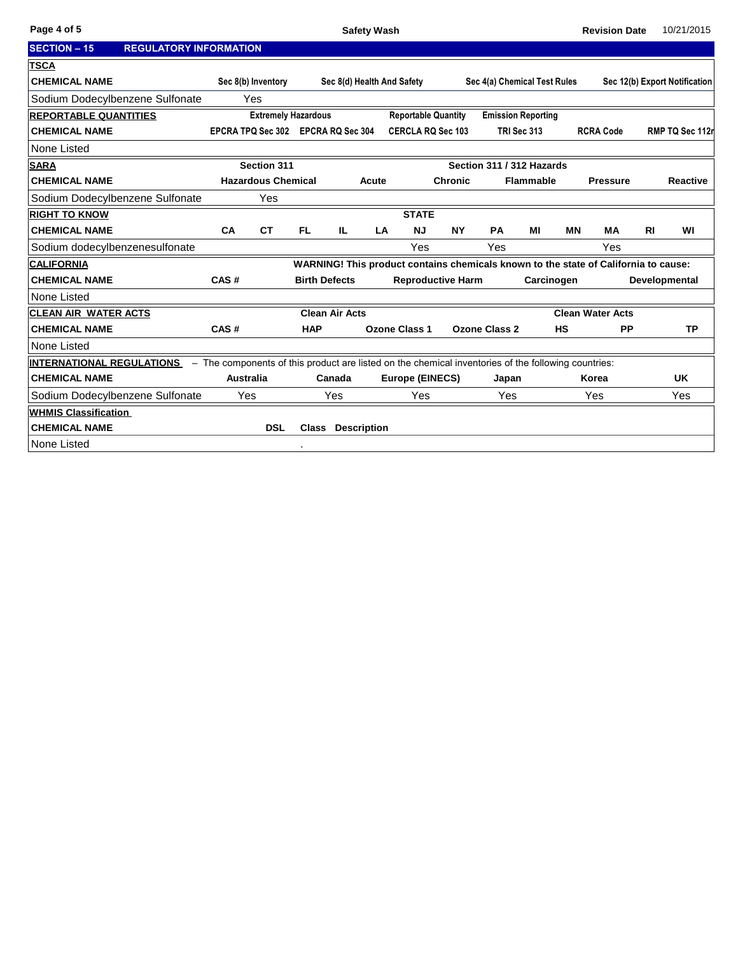| <b>SECTION - 15</b>              | <b>REGULATORY INFORMATION</b> |                            |                                    |                       |                            |                    |                            |                          |                                                                                                     |                  |           |                                                                                     |           |                               |
|----------------------------------|-------------------------------|----------------------------|------------------------------------|-----------------------|----------------------------|--------------------|----------------------------|--------------------------|-----------------------------------------------------------------------------------------------------|------------------|-----------|-------------------------------------------------------------------------------------|-----------|-------------------------------|
| <b>TSCA</b>                      |                               |                            |                                    |                       |                            |                    |                            |                          |                                                                                                     |                  |           |                                                                                     |           |                               |
| <b>CHEMICAL NAME</b>             |                               |                            | Sec 8(b) Inventory                 |                       |                            |                    | Sec 8(d) Health And Safety |                          | Sec 4(a) Chemical Test Rules                                                                        |                  |           |                                                                                     |           | Sec 12(b) Export Notification |
| Sodium Dodecylbenzene Sulfonate  |                               |                            | Yes                                |                       |                            |                    |                            |                          |                                                                                                     |                  |           |                                                                                     |           |                               |
| <b>REPORTABLE QUANTITIES</b>     |                               | <b>Extremely Hazardous</b> |                                    |                       | <b>Reportable Quantity</b> |                    |                            |                          | <b>Emission Reporting</b>                                                                           |                  |           |                                                                                     |           |                               |
| <b>CHEMICAL NAME</b>             |                               |                            | EPCRA TPQ Sec 302 EPCRA RQ Sec 304 |                       |                            |                    | <b>CERCLA RQ Sec 103</b>   |                          |                                                                                                     | TRI Sec 313      |           | <b>RCRA Code</b>                                                                    |           | RMP TQ Sec 112r               |
| None Listed                      |                               |                            |                                    |                       |                            |                    |                            |                          |                                                                                                     |                  |           |                                                                                     |           |                               |
| <b>SARA</b>                      |                               |                            | Section 311                        |                       |                            |                    |                            |                          | Section 311 / 312 Hazards                                                                           |                  |           |                                                                                     |           |                               |
| <b>CHEMICAL NAME</b>             |                               |                            | <b>Hazardous Chemical</b>          |                       |                            | Acute              |                            | <b>Chronic</b>           |                                                                                                     | <b>Flammable</b> |           | <b>Pressure</b>                                                                     |           | <b>Reactive</b>               |
| Sodium Dodecylbenzene Sulfonate  |                               |                            | Yes                                |                       |                            |                    |                            |                          |                                                                                                     |                  |           |                                                                                     |           |                               |
| <b>RIGHT TO KNOW</b>             |                               |                            |                                    |                       |                            |                    | <b>STATE</b>               |                          |                                                                                                     |                  |           |                                                                                     |           |                               |
| <b>CHEMICAL NAME</b>             |                               | <b>CA</b>                  | <b>CT</b>                          | FL.                   | IL.                        | LA                 | <b>NJ</b>                  | <b>NY</b>                | PA                                                                                                  | MI               | <b>MN</b> | <b>MA</b>                                                                           | <b>RI</b> | WI                            |
| Sodium dodecylbenzenesulfonate   |                               |                            |                                    |                       |                            |                    | Yes                        |                          | Yes                                                                                                 |                  |           | Yes                                                                                 |           |                               |
| <b>CALIFORNIA</b>                |                               |                            |                                    |                       |                            |                    |                            |                          |                                                                                                     |                  |           | WARNING! This product contains chemicals known to the state of California to cause: |           |                               |
| <b>CHEMICAL NAME</b>             |                               | CAS#                       |                                    | <b>Birth Defects</b>  |                            |                    |                            | <b>Reproductive Harm</b> |                                                                                                     | Carcinogen       |           |                                                                                     |           | Developmental                 |
| None Listed                      |                               |                            |                                    |                       |                            |                    |                            |                          |                                                                                                     |                  |           |                                                                                     |           |                               |
| <b>CLEAN AIR WATER ACTS</b>      |                               |                            |                                    | <b>Clean Air Acts</b> |                            |                    |                            |                          |                                                                                                     |                  |           | <b>Clean Water Acts</b>                                                             |           |                               |
| <b>CHEMICAL NAME</b>             |                               | CAS#                       |                                    | <b>HAP</b>            |                            |                    | Ozone Class 1              |                          | <b>Ozone Class 2</b>                                                                                |                  | <b>HS</b> | <b>PP</b>                                                                           |           | <b>TP</b>                     |
| None Listed                      |                               |                            |                                    |                       |                            |                    |                            |                          |                                                                                                     |                  |           |                                                                                     |           |                               |
| <b>INTERNATIONAL REGULATIONS</b> |                               |                            |                                    |                       |                            |                    |                            |                          | - The components of this product are listed on the chemical inventories of the following countries: |                  |           |                                                                                     |           |                               |
| <b>CHEMICAL NAME</b>             |                               | Australia                  |                                    |                       | Canada                     |                    | Europe (EINECS)            |                          | Japan                                                                                               |                  |           | Korea                                                                               |           | <b>UK</b>                     |
| Sodium Dodecylbenzene Sulfonate  |                               | Yes                        |                                    |                       | Yes                        |                    | Yes                        |                          | Yes                                                                                                 |                  |           | Yes                                                                                 |           | Yes                           |
| <b>WHMIS Classification</b>      |                               |                            |                                    |                       |                            |                    |                            |                          |                                                                                                     |                  |           |                                                                                     |           |                               |
| <b>CHEMICAL NAME</b>             |                               |                            | <b>DSL</b>                         | <b>Class</b>          |                            | <b>Description</b> |                            |                          |                                                                                                     |                  |           |                                                                                     |           |                               |
| None Listed                      |                               |                            |                                    |                       |                            |                    |                            |                          |                                                                                                     |                  |           |                                                                                     |           |                               |